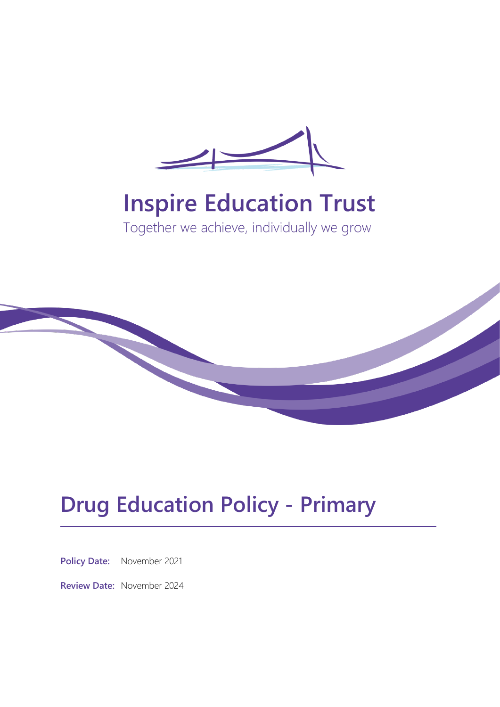

# **Inspire Education Trust**

Together we achieve, individually we grow



## **Drug Education Policy - Primary**

**Policy Date:** November 2021

**Review Date:** November 2024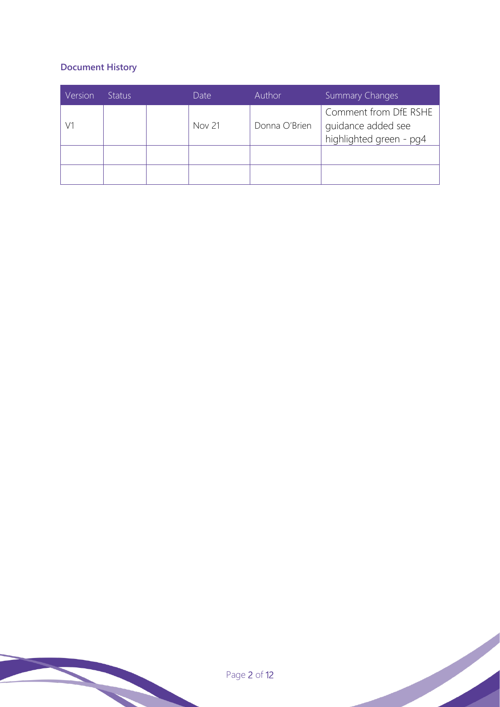## **Document History**

| Version | <b>Status</b> | Date          | <b>Author</b> | <b>Summary Changes</b>                                                 |
|---------|---------------|---------------|---------------|------------------------------------------------------------------------|
| V1      |               | <b>Nov 21</b> | Donna O'Brien | Comment from DfE RSHE<br>guidance added see<br>highlighted green - pg4 |
|         |               |               |               |                                                                        |
|         |               |               |               |                                                                        |

Page 2 of 12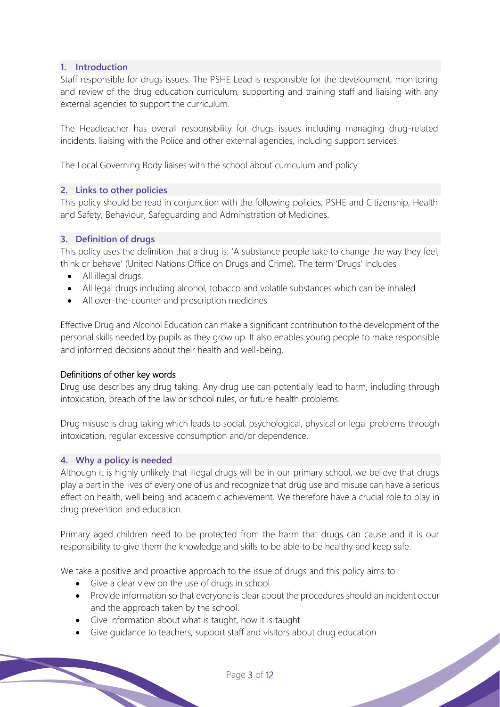## **1. Introduction**

Staff responsible for drugs issues: The PSHE Lead is responsible for the development, monitoring and review of the drug education curriculum, supporting and training staff and liaising with any external agencies to support the curriculum.

The Headteacher has overall responsibility for drugs issues including managing drug-related incidents, liaising with the Police and other external agencies, including support services.

The Local Governing Body liaises with the school about curriculum and policy.

#### **2. Links to other policies**

This policy should be read in conjunction with the following policies; PSHE and Citizenship, Health and Safety, Behaviour, Safeguarding and Administration of Medicines.

#### **3. Definition of drugs**

This policy uses the definition that a drug is: 'A substance people take to change the way they feel, think or behave' (United Nations Office on Drugs and Crime). The term 'Drugs' includes

- All illegal drugs
- All legal drugs including alcohol, tobacco and volatile substances which can be inhaled
- All over-the-counter and prescription medicines

Effective Drug and Alcohol Education can make a significant contribution to the development of the personal skills needed by pupils as they grow up. It also enables young people to make responsible and informed decisions about their health and well-being.

#### Definitions of other key words

Drug use describes any drug taking. Any drug use can potentially lead to harm, including through intoxication, breach of the law or school rules, or future health problems.

Drug misuse is drug taking which leads to social, psychological, physical or legal problems through intoxication, regular excessive consumption and/or dependence.

#### **4. Why a policy is needed**

Although it is highly unlikely that illegal drugs will be in our primary school, we believe that drugs play a part in the lives of every one of us and recognize that drug use and misuse can have a serious effect on health, well being and academic achievement. We therefore have a crucial role to play in drug prevention and education.

Primary aged children need to be protected from the harm that drugs can cause and it is our responsibility to give them the knowledge and skills to be able to be healthy and keep safe.

We take a positive and proactive approach to the issue of drugs and this policy aims to:

- Give a clear view on the use of drugs in school.
- Provide information so that everyone is clear about the procedures should an incident occur and the approach taken by the school.
- Give information about what is taught, how it is taught
- Give guidance to teachers, support staff and visitors about drug education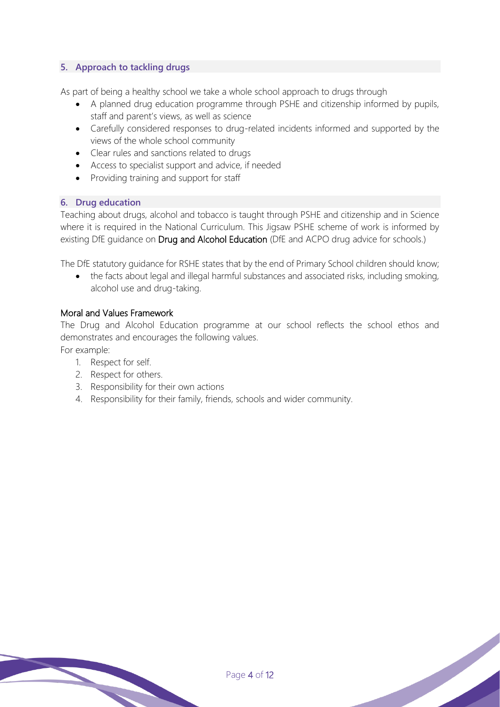## **5. Approach to tackling drugs**

As part of being a healthy school we take a whole school approach to drugs through

- A planned drug education programme through PSHE and citizenship informed by pupils, staff and parent's views, as well as science
- Carefully considered responses to drug-related incidents informed and supported by the views of the whole school community
- Clear rules and sanctions related to drugs
- Access to specialist support and advice, if needed
- Providing training and support for staff

## **6. Drug education**

Teaching about drugs, alcohol and tobacco is taught through PSHE and citizenship and in Science where it is required in the National Curriculum. This Jigsaw PSHE scheme of work is informed by existing DfE guidance on Drug and Alcohol Education (DfE and ACPO drug advice for schools.)

The DfE statutory guidance for RSHE states that by the end of Primary School children should know;

• the facts about legal and illegal harmful substances and associated risks, including smoking, alcohol use and drug-taking.

## Moral and Values Framework

The Drug and Alcohol Education programme at our school reflects the school ethos and demonstrates and encourages the following values.

For example:

- 1. Respect for self.
- 2. Respect for others.
- 3. Responsibility for their own actions
- 4. Responsibility for their family, friends, schools and wider community.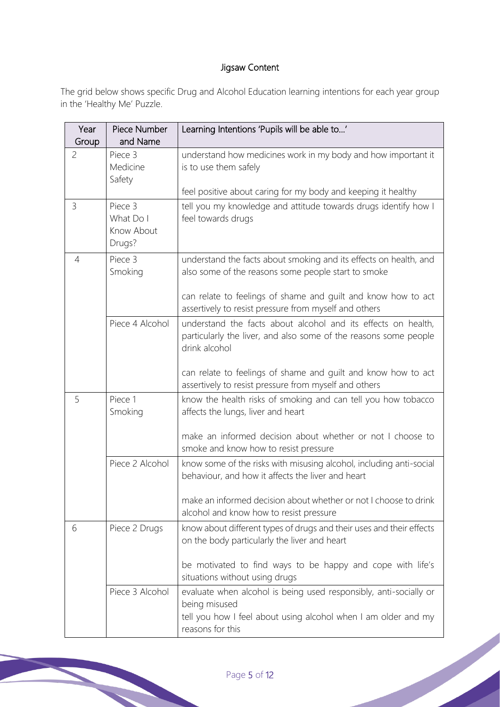## Jigsaw Content

The grid below shows specific Drug and Alcohol Education learning intentions for each year group in the 'Healthy Me' Puzzle.

| Year<br>Group  | Piece Number<br>and Name                     | Learning Intentions 'Pupils will be able to'                                                                                                                                                                                                       |
|----------------|----------------------------------------------|----------------------------------------------------------------------------------------------------------------------------------------------------------------------------------------------------------------------------------------------------|
| $\overline{c}$ | Piece 3<br>Medicine<br>Safety                | understand how medicines work in my body and how important it<br>is to use them safely<br>feel positive about caring for my body and keeping it healthy                                                                                            |
| 3              | Piece 3<br>What Do I<br>Know About<br>Drugs? | tell you my knowledge and attitude towards drugs identify how I<br>feel towards drugs                                                                                                                                                              |
| 4              | Piece 3<br>Smoking                           | understand the facts about smoking and its effects on health, and<br>also some of the reasons some people start to smoke<br>can relate to feelings of shame and guilt and know how to act<br>assertively to resist pressure from myself and others |
|                | Piece 4 Alcohol                              | understand the facts about alcohol and its effects on health,<br>particularly the liver, and also some of the reasons some people<br>drink alcohol                                                                                                 |
|                |                                              | can relate to feelings of shame and guilt and know how to act<br>assertively to resist pressure from myself and others                                                                                                                             |
| 5              | Piece 1<br>Smoking                           | know the health risks of smoking and can tell you how tobacco<br>affects the lungs, liver and heart                                                                                                                                                |
|                |                                              | make an informed decision about whether or not I choose to<br>smoke and know how to resist pressure                                                                                                                                                |
|                | Piece 2 Alcohol                              | know some of the risks with misusing alcohol, including anti-social<br>behaviour, and how it affects the liver and heart                                                                                                                           |
|                |                                              | make an informed decision about whether or not I choose to drink<br>alcohol and know how to resist pressure                                                                                                                                        |
| 6              | Piece 2 Drugs                                | know about different types of drugs and their uses and their effects<br>on the body particularly the liver and heart                                                                                                                               |
|                |                                              | be motivated to find ways to be happy and cope with life's<br>situations without using drugs                                                                                                                                                       |
|                | Piece 3 Alcohol                              | evaluate when alcohol is being used responsibly, anti-socially or<br>being misused<br>tell you how I feel about using alcohol when I am older and my<br>reasons for this                                                                           |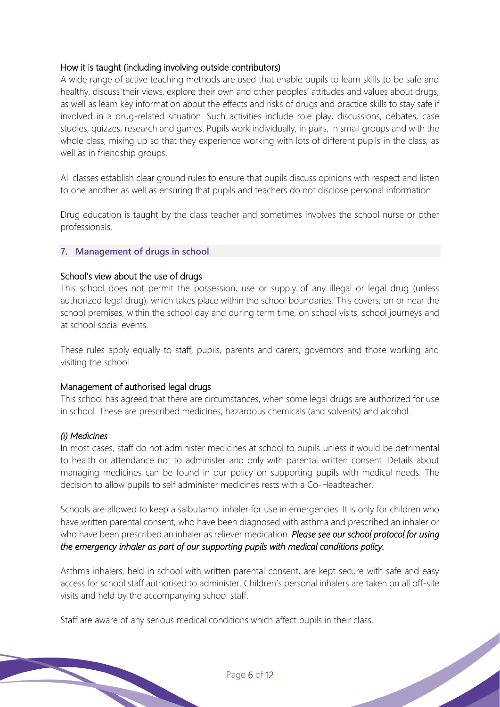## How it is taught (including involving outside contributors)

A wide range of active teaching methods are used that enable pupils to learn skills to be safe and healthy, discuss their views, explore their own and other peoples' attitudes and values about drugs, as well as learn key information about the effects and risks of drugs and practice skills to stay safe if involved in a drug-related situation. Such activities include role play, discussions, debates, case studies, quizzes, research and games. Pupils work individually, in pairs, in small groups and with the whole class, mixing up so that they experience working with lots of different pupils in the class, as well as in friendship groups.

All classes establish clear ground rules to ensure that pupils discuss opinions with respect and listen to one another as well as ensuring that pupils and teachers do not disclose personal information.

Drug education is taught by the class teacher and sometimes involves the school nurse or other professionals.

#### **7. Management of drugs in school**

#### School's view about the use of drugs

This school does not permit the possession, use or supply of any illegal or legal drug (unless authorized legal drug), which takes place within the school boundaries. This covers; on or near the school premises, within the school day and during term time, on school visits, school journeys and at school social events.

These rules apply equally to staff, pupils, parents and carers, governors and those working and visiting the school.

#### Management of authorised legal drugs

This school has agreed that there are circumstances, when some legal drugs are authorized for use in school. These are prescribed medicines, hazardous chemicals (and solvents) and alcohol.

#### *(i) Medicines*

In most cases, staff do not administer medicines at school to pupils unless it would be detrimental to health or attendance not to administer and only with parental written consent. Details about managing medicines can be found in our policy on supporting pupils with medical needs. The decision to allow pupils to self administer medicines rests with a Co-Headteacher.

Schools are allowed to keep a salbutamol inhaler for use in emergencies. It is only for children who have written parental consent, who have been diagnosed with asthma and prescribed an inhaler or who have been prescribed an inhaler as reliever medication. *Please see our school protocol for using the emergency inhaler as part of our supporting pupils with medical conditions policy.* 

Asthma inhalers, held in school with written parental consent, are kept secure with safe and easy access for school staff authorised to administer. Children's personal inhalers are taken on all off-site visits and held by the accompanying school staff.

Staff are aware of any serious medical conditions which affect pupils in their class.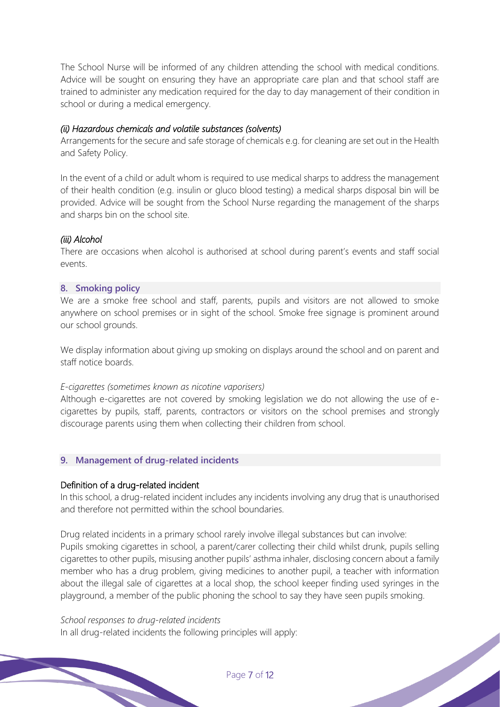The School Nurse will be informed of any children attending the school with medical conditions. Advice will be sought on ensuring they have an appropriate care plan and that school staff are trained to administer any medication required for the day to day management of their condition in school or during a medical emergency.

#### *(ii) Hazardous chemicals and volatile substances (solvents)*

Arrangements for the secure and safe storage of chemicals e.g. for cleaning are set out in the Health and Safety Policy.

In the event of a child or adult whom is required to use medical sharps to address the management of their health condition (e.g. insulin or gluco blood testing) a medical sharps disposal bin will be provided. Advice will be sought from the School Nurse regarding the management of the sharps and sharps bin on the school site.

#### *(iii) Alcohol*

There are occasions when alcohol is authorised at school during parent's events and staff social events.

#### **8. Smoking policy**

We are a smoke free school and staff, parents, pupils and visitors are not allowed to smoke anywhere on school premises or in sight of the school. Smoke free signage is prominent around our school grounds.

We display information about giving up smoking on displays around the school and on parent and staff notice boards.

#### *E-cigarettes (sometimes known as nicotine vaporisers)*

Although e-cigarettes are not covered by smoking legislation we do not allowing the use of ecigarettes by pupils, staff, parents, contractors or visitors on the school premises and strongly discourage parents using them when collecting their children from school.

#### **9. Management of drug-related incidents**

#### Definition of a drug-related incident

In this school, a drug-related incident includes any incidents involving any drug that is unauthorised and therefore not permitted within the school boundaries.

Drug related incidents in a primary school rarely involve illegal substances but can involve: Pupils smoking cigarettes in school, a parent/carer collecting their child whilst drunk, pupils selling cigarettes to other pupils, misusing another pupils' asthma inhaler, disclosing concern about a family member who has a drug problem, giving medicines to another pupil, a teacher with information about the illegal sale of cigarettes at a local shop, the school keeper finding used syringes in the playground, a member of the public phoning the school to say they have seen pupils smoking.

#### *School responses to drug-related incidents*

In all drug-related incidents the following principles will apply: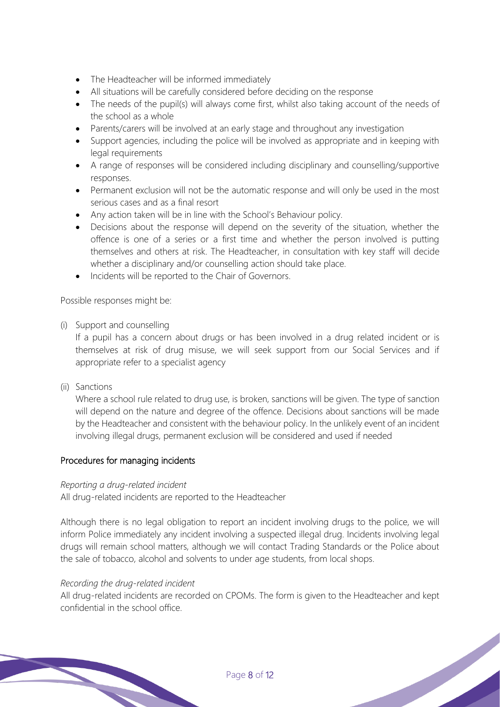- The Headteacher will be informed immediately
- All situations will be carefully considered before deciding on the response
- The needs of the pupil(s) will always come first, whilst also taking account of the needs of the school as a whole
- Parents/carers will be involved at an early stage and throughout any investigation
- Support agencies, including the police will be involved as appropriate and in keeping with legal requirements
- A range of responses will be considered including disciplinary and counselling/supportive responses.
- Permanent exclusion will not be the automatic response and will only be used in the most serious cases and as a final resort
- Any action taken will be in line with the School's Behaviour policy.
- Decisions about the response will depend on the severity of the situation, whether the offence is one of a series or a first time and whether the person involved is putting themselves and others at risk. The Headteacher, in consultation with key staff will decide whether a disciplinary and/or counselling action should take place.
- Incidents will be reported to the Chair of Governors.

Possible responses might be:

(i) Support and counselling

If a pupil has a concern about drugs or has been involved in a drug related incident or is themselves at risk of drug misuse, we will seek support from our Social Services and if appropriate refer to a specialist agency

(ii) Sanctions

Where a school rule related to drug use, is broken, sanctions will be given. The type of sanction will depend on the nature and degree of the offence. Decisions about sanctions will be made by the Headteacher and consistent with the behaviour policy. In the unlikely event of an incident involving illegal drugs, permanent exclusion will be considered and used if needed

## Procedures for managing incidents

## *Reporting a drug-related incident*

All drug-related incidents are reported to the Headteacher

Although there is no legal obligation to report an incident involving drugs to the police, we will inform Police immediately any incident involving a suspected illegal drug. Incidents involving legal drugs will remain school matters, although we will contact Trading Standards or the Police about the sale of tobacco, alcohol and solvents to under age students, from local shops.

#### *Recording the drug-related incident*

All drug-related incidents are recorded on CPOMs. The form is given to the Headteacher and kept confidential in the school office.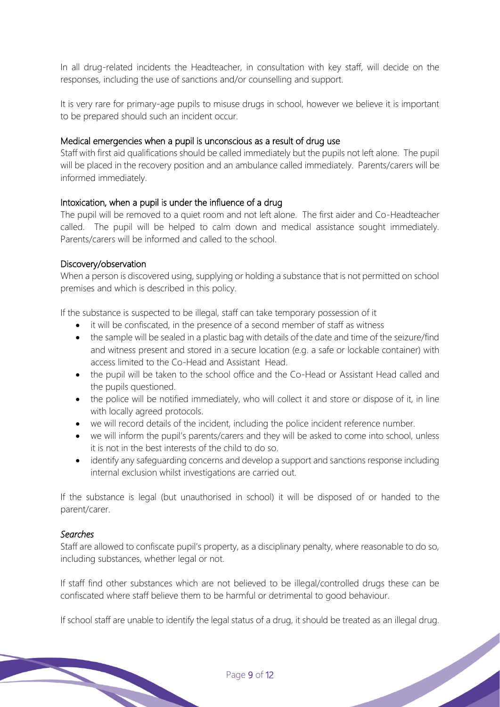In all drug-related incidents the Headteacher, in consultation with key staff, will decide on the responses, including the use of sanctions and/or counselling and support.

It is very rare for primary-age pupils to misuse drugs in school, however we believe it is important to be prepared should such an incident occur.

## Medical emergencies when a pupil is unconscious as a result of drug use

Staff with first aid qualifications should be called immediately but the pupils not left alone. The pupil will be placed in the recovery position and an ambulance called immediately. Parents/carers will be informed immediately.

#### Intoxication, when a pupil is under the influence of a drug

The pupil will be removed to a quiet room and not left alone. The first aider and Co-Headteacher called. The pupil will be helped to calm down and medical assistance sought immediately. Parents/carers will be informed and called to the school.

#### Discovery/observation

When a person is discovered using, supplying or holding a substance that is not permitted on school premises and which is described in this policy.

If the substance is suspected to be illegal, staff can take temporary possession of it

- it will be confiscated, in the presence of a second member of staff as witness
- the sample will be sealed in a plastic bag with details of the date and time of the seizure/find and witness present and stored in a secure location (e.g. a safe or lockable container) with access limited to the Co-Head and Assistant Head.
- the pupil will be taken to the school office and the Co-Head or Assistant Head called and the pupils questioned.
- the police will be notified immediately, who will collect it and store or dispose of it, in line with locally agreed protocols.
- we will record details of the incident, including the police incident reference number.
- we will inform the pupil's parents/carers and they will be asked to come into school, unless it is not in the best interests of the child to do so.
- identify any safeguarding concerns and develop a support and sanctions response including internal exclusion whilst investigations are carried out.

If the substance is legal (but unauthorised in school) it will be disposed of or handed to the parent/carer.

#### *Searches*

Staff are allowed to confiscate pupil's property, as a disciplinary penalty, where reasonable to do so, including substances, whether legal or not.

If staff find other substances which are not believed to be illegal/controlled drugs these can be confiscated where staff believe them to be harmful or detrimental to good behaviour.

If school staff are unable to identify the legal status of a drug, it should be treated as an illegal drug.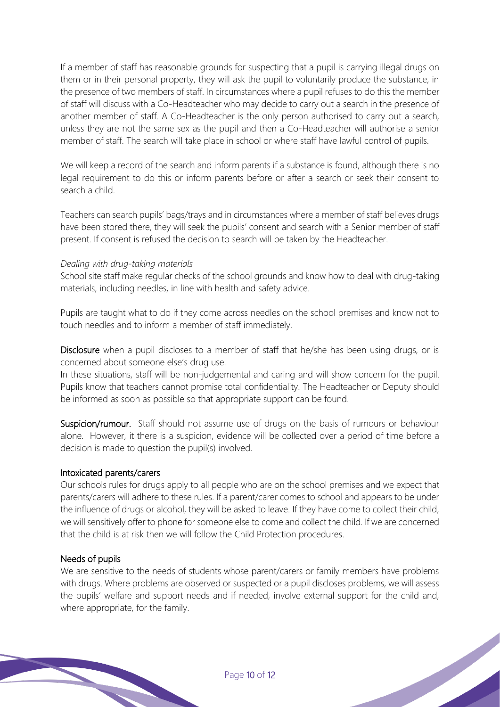If a member of staff has reasonable grounds for suspecting that a pupil is carrying illegal drugs on them or in their personal property, they will ask the pupil to voluntarily produce the substance, in the presence of two members of staff. In circumstances where a pupil refuses to do this the member of staff will discuss with a Co-Headteacher who may decide to carry out a search in the presence of another member of staff. A Co-Headteacher is the only person authorised to carry out a search, unless they are not the same sex as the pupil and then a Co-Headteacher will authorise a senior member of staff. The search will take place in school or where staff have lawful control of pupils.

We will keep a record of the search and inform parents if a substance is found, although there is no legal requirement to do this or inform parents before or after a search or seek their consent to search a child.

Teachers can search pupils' bags/trays and in circumstances where a member of staff believes drugs have been stored there, they will seek the pupils' consent and search with a Senior member of staff present. If consent is refused the decision to search will be taken by the Headteacher.

#### *Dealing with drug-taking materials*

School site staff make regular checks of the school grounds and know how to deal with drug-taking materials, including needles, in line with health and safety advice.

Pupils are taught what to do if they come across needles on the school premises and know not to touch needles and to inform a member of staff immediately.

Disclosure when a pupil discloses to a member of staff that he/she has been using drugs, or is concerned about someone else's drug use.

In these situations, staff will be non-judgemental and caring and will show concern for the pupil. Pupils know that teachers cannot promise total confidentiality. The Headteacher or Deputy should be informed as soon as possible so that appropriate support can be found.

Suspicion/rumour. Staff should not assume use of drugs on the basis of rumours or behaviour alone. However, it there is a suspicion, evidence will be collected over a period of time before a decision is made to question the pupil(s) involved.

#### Intoxicated parents/carers

Our schools rules for drugs apply to all people who are on the school premises and we expect that parents/carers will adhere to these rules. If a parent/carer comes to school and appears to be under the influence of drugs or alcohol, they will be asked to leave. If they have come to collect their child, we will sensitively offer to phone for someone else to come and collect the child. If we are concerned that the child is at risk then we will follow the Child Protection procedures.

## Needs of pupils

We are sensitive to the needs of students whose parent/carers or family members have problems with drugs. Where problems are observed or suspected or a pupil discloses problems, we will assess the pupils' welfare and support needs and if needed, involve external support for the child and, where appropriate, for the family.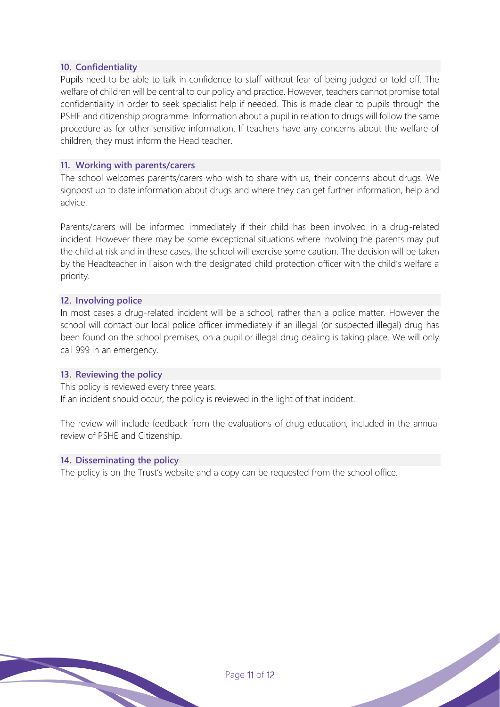#### **10. Confidentiality**

Pupils need to be able to talk in confidence to staff without fear of being judged or told off. The welfare of children will be central to our policy and practice. However, teachers cannot promise total confidentiality in order to seek specialist help if needed. This is made clear to pupils through the PSHE and citizenship programme. Information about a pupil in relation to drugs will follow the same procedure as for other sensitive information. If teachers have any concerns about the welfare of children, they must inform the Head teacher.

#### **11. Working with parents/carers**

The school welcomes parents/carers who wish to share with us, their concerns about drugs. We signpost up to date information about drugs and where they can get further information, help and advice.

Parents/carers will be informed immediately if their child has been involved in a drug-related incident. However there may be some exceptional situations where involving the parents may put the child at risk and in these cases, the school will exercise some caution. The decision will be taken by the Headteacher in liaison with the designated child protection officer with the child's welfare a priority.

#### **12. Involving police**

In most cases a drug-related incident will be a school, rather than a police matter. However the school will contact our local police officer immediately if an illegal (or suspected illegal) drug has been found on the school premises, on a pupil or illegal drug dealing is taking place. We will only call 999 in an emergency.

#### **13. Reviewing the policy**

This policy is reviewed every three years. If an incident should occur, the policy is reviewed in the light of that incident.

The review will include feedback from the evaluations of drug education, included in the annual review of PSHE and Citizenship.

#### **14. Disseminating the policy**

The policy is on the Trust's website and a copy can be requested from the school office.